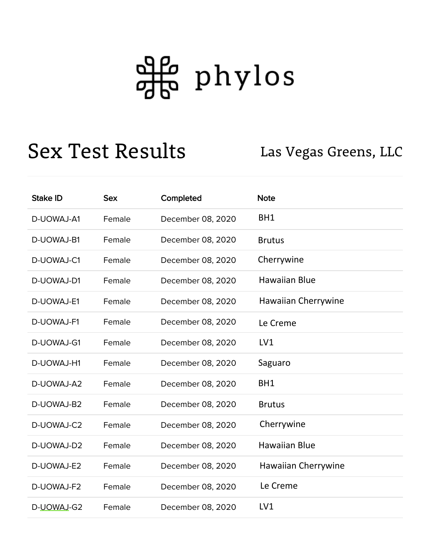## <del>아</del> phylos

## Sex Test Results Las Vegas Greens, LLC

| <b>Stake ID</b> | <b>Sex</b> | Completed         | <b>Note</b>          |
|-----------------|------------|-------------------|----------------------|
| D-UOWAJ-A1      | Female     | December 08, 2020 | BH1                  |
| D-UOWAJ-B1      | Female     | December 08, 2020 | <b>Brutus</b>        |
| D-UOWAJ-C1      | Female     | December 08, 2020 | Cherrywine           |
| D-UOWAJ-D1      | Female     | December 08, 2020 | <b>Hawaiian Blue</b> |
| D-UOWAJ-E1      | Female     | December 08, 2020 | Hawaiian Cherrywine  |
| D-UOWAJ-F1      | Female     | December 08, 2020 | Le Creme             |
| D-UOWAJ-G1      | Female     | December 08, 2020 | LV1                  |
| D-UOWAJ-H1      | Female     | December 08, 2020 | Saguaro              |
| D-UOWAJ-A2      | Female     | December 08, 2020 | BH1                  |
| D-UOWAJ-B2      | Female     | December 08, 2020 | <b>Brutus</b>        |
| D-UOWAJ-C2      | Female     | December 08, 2020 | Cherrywine           |
| D-UOWAJ-D2      | Female     | December 08, 2020 | <b>Hawaiian Blue</b> |
| D-UOWAJ-E2      | Female     | December 08, 2020 | Hawaiian Cherrywine  |
| D-UOWAJ-F2      | Female     | December 08, 2020 | Le Creme             |
| D-UOWAJ-G2      | Female     | December 08, 2020 | LV1                  |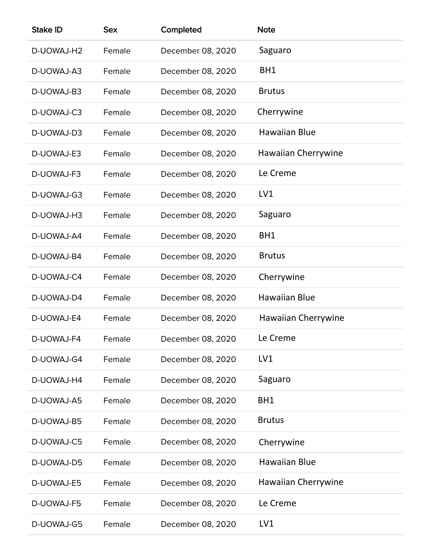| <b>Stake ID</b> | <b>Sex</b> | Completed         | <b>Note</b>          |
|-----------------|------------|-------------------|----------------------|
| D-UOWAJ-H2      | Female     | December 08, 2020 | Saguaro              |
| D-UOWAJ-A3      | Female     | December 08, 2020 | BH1                  |
| D-UOWAJ-B3      | Female     | December 08, 2020 | <b>Brutus</b>        |
| D-UOWAJ-C3      | Female     | December 08, 2020 | Cherrywine           |
| D-UOWAJ-D3      | Female     | December 08, 2020 | <b>Hawaiian Blue</b> |
| D-UOWAJ-E3      | Female     | December 08, 2020 | Hawaiian Cherrywine  |
| D-UOWAJ-F3      | Female     | December 08, 2020 | Le Creme             |
| D-UOWAJ-G3      | Female     | December 08, 2020 | LV1                  |
| D-UOWAJ-H3      | Female     | December 08, 2020 | Saguaro              |
| D-UOWAJ-A4      | Female     | December 08, 2020 | BH1                  |
| D-UOWAJ-B4      | Female     | December 08, 2020 | <b>Brutus</b>        |
| D-UOWAJ-C4      | Female     | December 08, 2020 | Cherrywine           |
| D-UOWAJ-D4      | Female     | December 08, 2020 | Hawaiian Blue        |
| D-UOWAJ-E4      | Female     | December 08, 2020 | Hawaiian Cherrywine  |
| D-UOWAJ-F4      | Female     | December 08, 2020 | Le Creme             |
| D-UOWAJ-G4      | Female     | December 08, 2020 | LV1                  |
| D-UOWAJ-H4      | Female     | December 08, 2020 | Saguaro              |
| D-UOWAJ-A5      | Female     | December 08, 2020 | BH1                  |
| D-UOWAJ-B5      | Female     | December 08, 2020 | <b>Brutus</b>        |
| D-UOWAJ-C5      | Female     | December 08, 2020 | Cherrywine           |
| D-UOWAJ-D5      | Female     | December 08, 2020 | <b>Hawaiian Blue</b> |
| D-UOWAJ-E5      | Female     | December 08, 2020 | Hawaiian Cherrywine  |
| D-UOWAJ-F5      | Female     | December 08, 2020 | Le Creme             |
| D-UOWAJ-G5      | Female     | December 08, 2020 | LV1                  |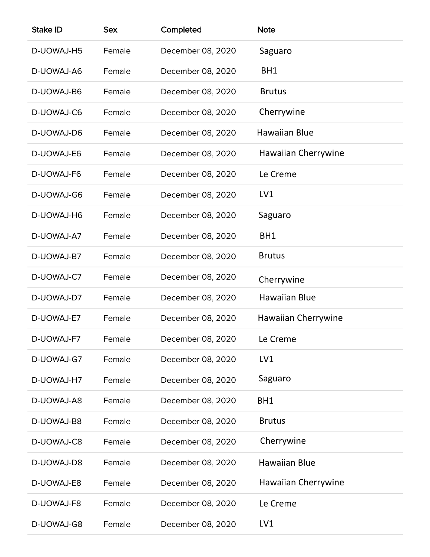| <b>Stake ID</b> | <b>Sex</b> | Completed         | <b>Note</b>          |
|-----------------|------------|-------------------|----------------------|
| D-UOWAJ-H5      | Female     | December 08, 2020 | Saguaro              |
| D-UOWAJ-A6      | Female     | December 08, 2020 | BH1                  |
| D-UOWAJ-B6      | Female     | December 08, 2020 | <b>Brutus</b>        |
| D-UOWAJ-C6      | Female     | December 08, 2020 | Cherrywine           |
| D-UOWAJ-D6      | Female     | December 08, 2020 | Hawaiian Blue        |
| D-UOWAJ-E6      | Female     | December 08, 2020 | Hawaiian Cherrywine  |
| D-UOWAJ-F6      | Female     | December 08, 2020 | Le Creme             |
| D-UOWAJ-G6      | Female     | December 08, 2020 | LV1                  |
| D-UOWAJ-H6      | Female     | December 08, 2020 | Saguaro              |
| D-UOWAJ-A7      | Female     | December 08, 2020 | BH1                  |
| D-UOWAJ-B7      | Female     | December 08, 2020 | <b>Brutus</b>        |
| D-UOWAJ-C7      | Female     | December 08, 2020 | Cherrywine           |
| D-UOWAJ-D7      | Female     | December 08, 2020 | <b>Hawaiian Blue</b> |
| D-UOWAJ-E7      | Female     | December 08, 2020 | Hawaiian Cherrywine  |
| D-UOWAJ-F7      | Female     | December 08, 2020 | Le Creme             |
| D-UOWAJ-G7      | Female     | December 08, 2020 | LV1                  |
| D-UOWAJ-H7      | Female     | December 08, 2020 | Saguaro              |
| D-UOWAJ-A8      | Female     | December 08, 2020 | BH1                  |
| D-UOWAJ-B8      | Female     | December 08, 2020 | <b>Brutus</b>        |
| D-UOWAJ-C8      | Female     | December 08, 2020 | Cherrywine           |
| D-UOWAJ-D8      | Female     | December 08, 2020 | Hawaiian Blue        |
| D-UOWAJ-E8      | Female     | December 08, 2020 | Hawaiian Cherrywine  |
| D-UOWAJ-F8      | Female     | December 08, 2020 | Le Creme             |
| D-UOWAJ-G8      | Female     | December 08, 2020 | LV1                  |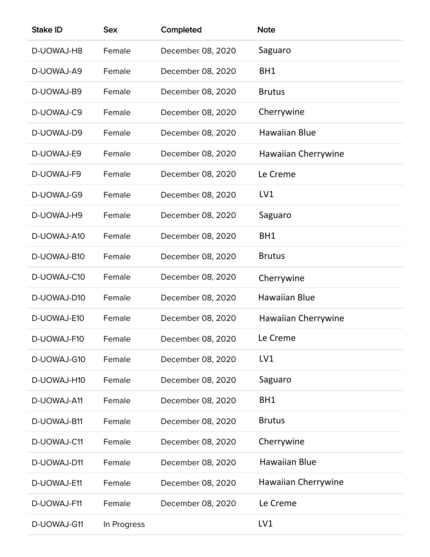| <b>Stake ID</b> | <b>Sex</b>  | Completed         | <b>Note</b>          |
|-----------------|-------------|-------------------|----------------------|
| D-UOWAJ-H8      | Female      | December 08, 2020 | Saguaro              |
| D-UOWAJ-A9      | Female      | December 08, 2020 | BH1                  |
| D-UOWAJ-B9      | Female      | December 08, 2020 | <b>Brutus</b>        |
| D-UOWAJ-C9      | Female      | December 08, 2020 | Cherrywine           |
| D-UOWAJ-D9      | Female      | December 08, 2020 | <b>Hawaiian Blue</b> |
| D-UOWAJ-E9      | Female      | December 08, 2020 | Hawaiian Cherrywine  |
| D-UOWAJ-F9      | Female      | December 08, 2020 | Le Creme             |
| D-UOWAJ-G9      | Female      | December 08, 2020 | LV1                  |
| D-UOWAJ-H9      | Female      | December 08, 2020 | Saguaro              |
| D-UOWAJ-A10     | Female      | December 08, 2020 | BH1                  |
| D-UOWAJ-B10     | Female      | December 08, 2020 | <b>Brutus</b>        |
| D-UOWAJ-C10     | Female      | December 08, 2020 | Cherrywine           |
| D-UOWAJ-D10     | Female      | December 08, 2020 | Hawaiian Blue        |
| D-UOWAJ-E10     | Female      | December 08, 2020 | Hawaiian Cherrywine  |
| D-UOWAJ-F10     | Female      | December 08, 2020 | Le Creme             |
| D-UOWAJ-G10     | Female      | December 08, 2020 | LV1                  |
| D-UOWAJ-H10     | Female      | December 08, 2020 | Saguaro              |
| D-UOWAJ-A11     | Female      | December 08, 2020 | BH1                  |
| D-UOWAJ-B11     | Female      | December 08, 2020 | <b>Brutus</b>        |
| D-UOWAJ-C11     | Female      | December 08, 2020 | Cherrywine           |
| D-UOWAJ-D11     | Female      | December 08, 2020 | Hawaiian Blue        |
| D-UOWAJ-E11     | Female      | December 08, 2020 | Hawaiian Cherrywine  |
| D-UOWAJ-F11     | Female      | December 08, 2020 | Le Creme             |
| D-UOWAJ-G11     | In Progress |                   | LV1                  |